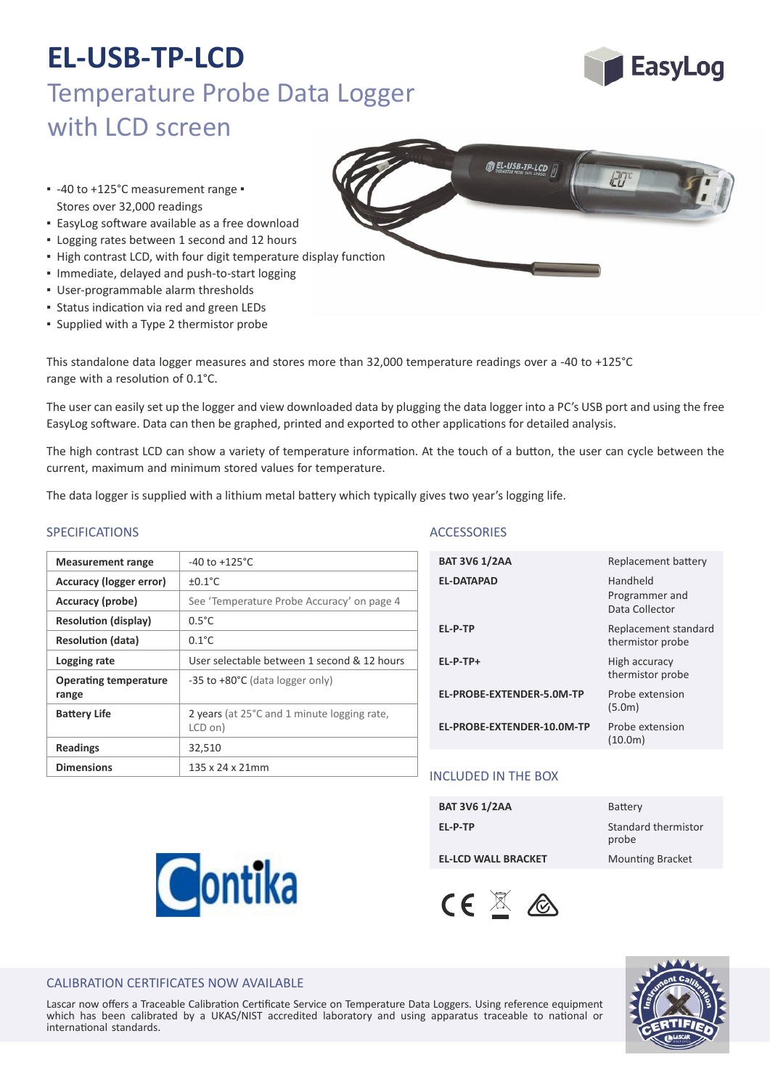

- **EasyLog software available as a free download**
- Logging rates between 1 second and 12 hours
- . High contrast LCD, with four digit temperature display function
- Immediate, delayed and push‐to‐start logging
- User‐programmable alarm thresholds
- **Status indication via red and green LEDs**
- Supplied with a Type 2 thermistor probe

This standalone data logger measures and stores more than 32,000 temperature readings over a -40 to +125°C range with a resolution of 0.1°C.

The user can easily set up the logger and view downloaded data by plugging the data logger into a PC's USB port and using the free EasyLog software. Data can then be graphed, printed and exported to other applications for detailed analysis.

The high contrast LCD can show a variety of temperature information. At the touch of a button, the user can cycle between the current, maximum and minimum stored values for temperature.

The data logger is supplied with a lithium metal battery which typically gives two year's logging life.

### SPECIFICATIONS ACCESSORIES

| <b>Measurement range</b>              | $-40$ to $+125^{\circ}$ C                              |
|---------------------------------------|--------------------------------------------------------|
| Accuracy (logger error)               | $+0.1^{\circ}$ C                                       |
| Accuracy (probe)                      | See 'Temperature Probe Accuracy' on page 4             |
| <b>Resolution (display)</b>           | $0.5^{\circ}$ C                                        |
| <b>Resolution (data)</b>              | $0.1^{\circ}$ C                                        |
| Logging rate                          | User selectable between 1 second & 12 hours            |
| <b>Operating temperature</b><br>range | $-35$ to $+80$ °C (data logger only)                   |
| <b>Battery Life</b>                   | 2 years (at 25°C and 1 minute logging rate,<br>LCD on) |
| <b>Readings</b>                       | 32,510                                                 |
| <b>Dimensions</b>                     | $135 \times 24 \times 21$ mm                           |

Contika

| <b>BAT 3V6 1/2AA</b>       | Replacement battery                          |
|----------------------------|----------------------------------------------|
| <b>EL-DATAPAD</b>          | Handheld<br>Programmer and<br>Data Collector |
| EL-P-TP                    | Replacement standard<br>thermistor probe     |
| EL-P-TP+                   | High accuracy<br>thermistor probe            |
| EL-PROBE-EXTENDER-5.0M-TP  | Probe extension<br>(5.0m)                    |
| EL-PROBE-EXTENDER-10.0M-TP | Probe extension<br>(10.0m)                   |
|                            |                                              |

### INCLUDED IN THE BOX

| <b>BAT 3V6 1/2AA</b>       | Battery                      |
|----------------------------|------------------------------|
| EL-P-TP                    | Standard thermistor<br>probe |
| <b>EL-LCD WALL BRACKET</b> | <b>Mounting Bracket</b>      |
|                            |                              |



### CALIBRATION CERTIFICATES NOW AVAILABLE

Lascar now offers a Traceable Calibration Certificate Service on Temperature Data Loggers. Using reference equipment which has been calibrated by a UKAS/NIST accredited laboratory and using apparatus traceable to national or international standards.





![](_page_0_Picture_24.jpeg)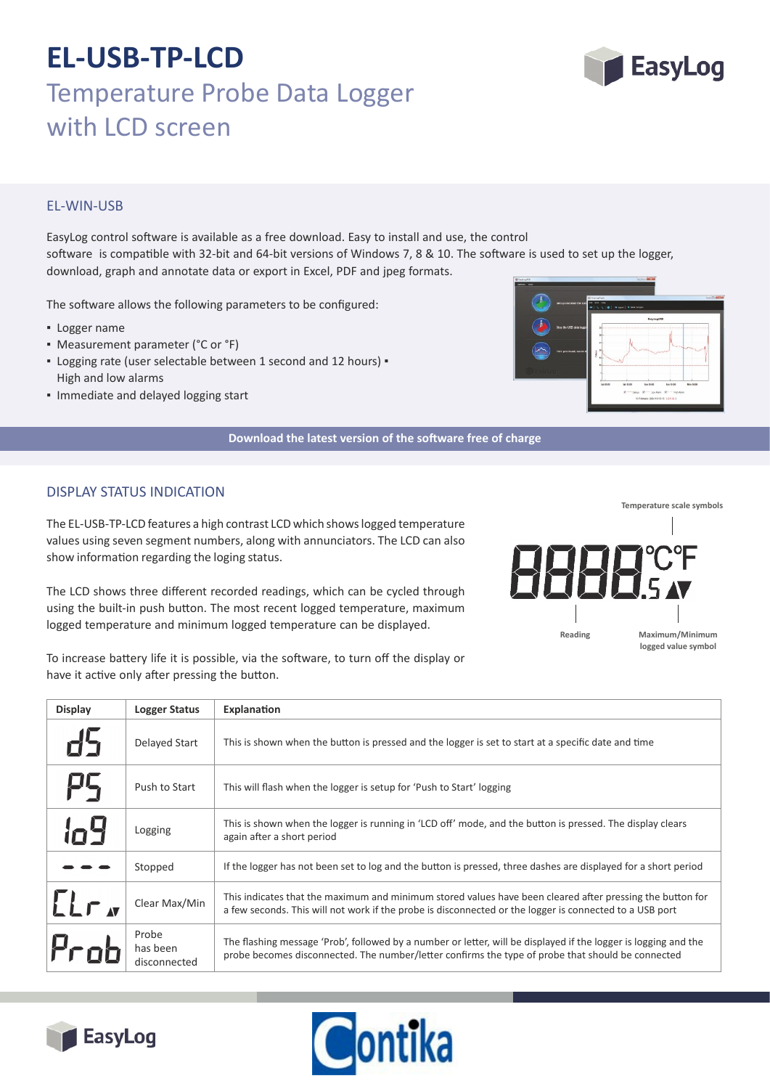### EL‐WIN‐USB

EasyLog control software is available as a free download. Easy to install and use, the control software is compatible with 32-bit and 64-bit versions of Windows 7, 8 & 10. The software is used to set up the logger, download, graph and annotate data or export in Excel, PDF and jpeg formats.

The software allows the following parameters to be configured:

- Logger name
- Measurement parameter (°C or °F)
- Logging rate (user selectable between 1 second and 12 hours) High and low alarms
- Immediate and delayed logging start

![](_page_1_Figure_8.jpeg)

#### **Download the latest version of the so�ware free of charge**

### DISPLAY STATUS INDICATION

The EL‐USB‐TP‐LCD features a high contrast LCD which shows logged temperature values using seven segment numbers, along with annunciators. The LCD can also show information regarding the loging status.

The LCD shows three different recorded readings, which can be cycled through using the built-in push button. The most recent logged temperature, maximum logged temperature and minimum logged temperature can be displayed.

To increase battery life it is possible, via the software, to turn off the display or have it

| D shows three different recorded readings, which can be cycled through<br>he built-in push button. The most recent logged temperature, maximum:<br>temperature and minimum logged temperature can be displayed. | ШШ<br>Reading |
|-----------------------------------------------------------------------------------------------------------------------------------------------------------------------------------------------------------------|---------------|
| ease battery life it is possible, via the software, to turn off the display or<br>active only after pressing the button.                                                                                        |               |

**Display** Logger Status Explanation Delayed Start This is shown when the button is pressed and the logger is set to start at a specific date and time Push to Start | This will flash when the logger is setup for 'Push to Start' logging Logging This is shown when the logger is running in 'LCD off' mode, and the button is pressed. The display clears again after a short period

|                               | Stopped                           | If the logger has not been set to log and the button is pressed, three dashes are displayed for a short period                                                                                                       |
|-------------------------------|-----------------------------------|----------------------------------------------------------------------------------------------------------------------------------------------------------------------------------------------------------------------|
| LT <sub>A</sub>               | Clear Max/Min                     | This indicates that the maximum and minimum stored values have been cleared after pressing the button for<br>a few seconds. This will not work if the probe is disconnected or the logger is connected to a USB port |
| $\mathcal{F}_{\mathbf{C}}$ ob | Probe<br>has been<br>disconnected | The flashing message 'Prob', followed by a number or letter, will be displayed if the logger is logging and the<br>probe becomes disconnected. The number/letter confirms the type of probe that should be connected |

![](_page_1_Picture_17.jpeg)

lo9

I.

![](_page_1_Picture_18.jpeg)

![](_page_1_Picture_19.jpeg)

**Temperature scale symbols**

**Maximum/Minimum logged value symbol**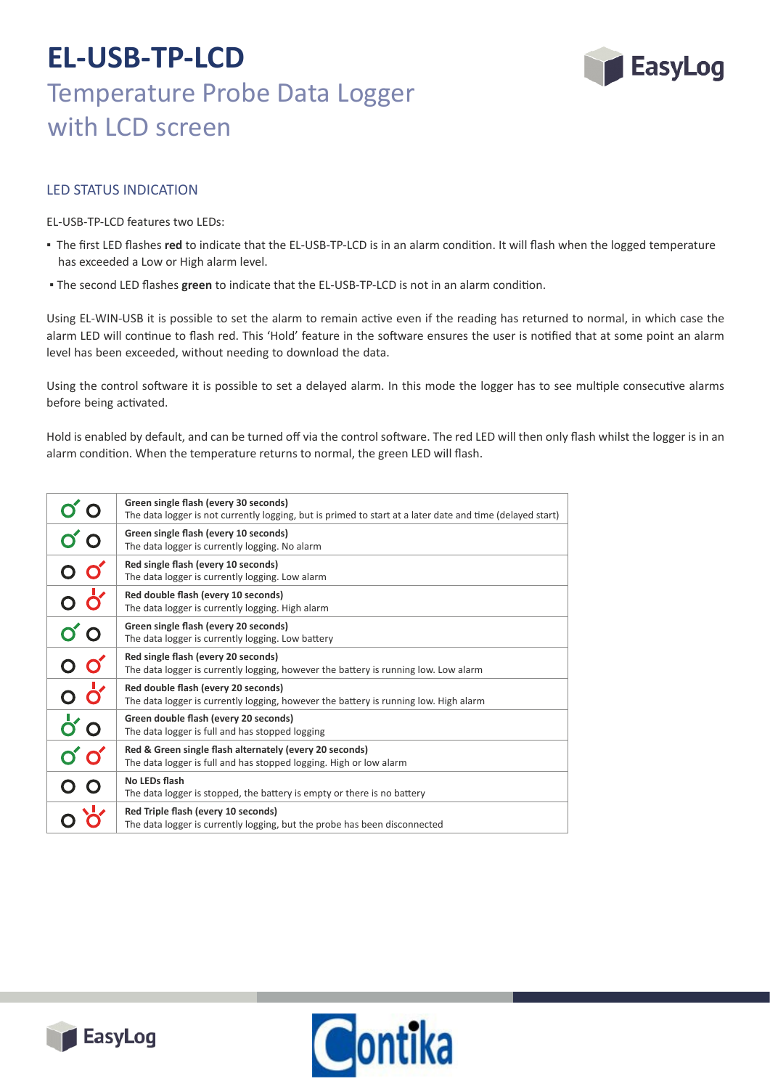![](_page_2_Picture_1.jpeg)

### LED STATUS INDICATION

EL‐USB‐TP‐LCD features two LEDs:

- The first LED flashes **red** to indicate that the EL‐USB‐TP‐LCD is in an alarm condi�on. It will flash when the logged temperature has exceeded a Low or High alarm level.
- The second LED flashes **green** to indicate that the EL‐USB‐TP‐LCD is not in an alarm condi�on.

Using EL-WIN-USB it is possible to set the alarm to remain active even if the reading has returned to normal, in which case the alarm LED will continue to flash red. This 'Hold' feature in the software ensures the user is notified that at some point an alarm level has been exceeded, without needing to download the data.

Using the control software it is possible to set a delayed alarm. In this mode the logger has to see multiple consecutive alarms before being activated.

Hold is enabled by default, and can be turned off via the control software. The red LED will then only flash whilst the logger is in an alarm condition. When the temperature returns to normal, the green LED will flash.

|                                                    | Green single flash (every 30 seconds)<br>The data logger is not currently logging, but is primed to start at a later date and time (delayed start) |
|----------------------------------------------------|----------------------------------------------------------------------------------------------------------------------------------------------------|
| 0'                                                 | Green single flash (every 10 seconds)<br>The data logger is currently logging. No alarm                                                            |
| $\overline{O}$ $\overline{O}'$                     | Red single flash (every 10 seconds)<br>The data logger is currently logging. Low alarm                                                             |
| <u>၀ ဝှ</u>                                        | Red double flash (every 10 seconds)<br>The data logger is currently logging. High alarm                                                            |
| $\sigma$ o                                         | Green single flash (every 20 seconds)<br>The data logger is currently logging. Low battery                                                         |
| $\circ$ $\circ$                                    | Red single flash (every 20 seconds)<br>The data logger is currently logging, however the battery is running low. Low alarm                         |
| o oʻ                                               | Red double flash (every 20 seconds)<br>The data logger is currently logging, however the battery is running low. High alarm                        |
| $\vec{o}$ o                                        | Green double flash (every 20 seconds)<br>The data logger is full and has stopped logging                                                           |
| $\boldsymbol{\mathsf{O}}'\boldsymbol{\mathsf{O}}'$ | Red & Green single flash alternately (every 20 seconds)<br>The data logger is full and has stopped logging. High or low alarm                      |
| $\overline{O}$ $\overline{O}$                      | No LEDs flash<br>The data logger is stopped, the battery is empty or there is no battery                                                           |
|                                                    | Red Triple flash (every 10 seconds)<br>The data logger is currently logging, but the probe has been disconnected                                   |

![](_page_2_Picture_10.jpeg)

![](_page_2_Picture_11.jpeg)